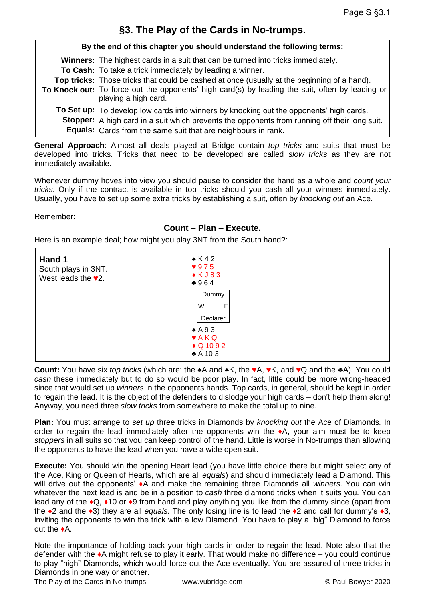**By the end of this chapter you should understand the following terms: Winners:**  The highest cards in a suit that can be turned into tricks immediately. **To Cash:** To take a trick immediately by leading a winner. **Top tricks:** Those tricks that could be cashed at once (usually at the beginning of a hand). **To Knock out:** To force out the opponents' high card(s) by leading the suit, often by leading or **To Set up:** To develop low cards into winners by knocking out the opponents' high cards. **Stopper:**  A high card in a suit which prevents the opponents from running off their long suit. **Equals:** Cards from the same suit that are neighbours in rank. playing a high card.

**General Approach**: Almost all deals played at Bridge contain *top tricks* and suits that must be developed into tricks. Tricks that need to be developed are called *slow tricks* as they are not immediately available.

Whenever dummy hoves into view you should pause to consider the hand as a whole and *count your tricks*. Only if the contract is available in top tricks should you cash all your winners immediately. Usually, you have to set up some extra tricks by establishing a suit, often by *knocking out* an Ace.

## Remember:

## **Count – Plan – Execute.**

Here is an example deal; how might you play 3NT from the South hand?:

| Hand 1<br>South plays in 3NT.<br>West leads the $\sqrt{2}$ . | $\triangle$ K42<br>975<br>$\triangle K J 83$<br>$*964$                                  |  |
|--------------------------------------------------------------|-----------------------------------------------------------------------------------------|--|
|                                                              | Dummy<br>W<br>Е<br>Declarer                                                             |  |
|                                                              | $\triangle$ A 93<br>$\blacktriangledown$ AKQ<br>$\bullet$ Q 10 9 2<br>$\triangle$ A 103 |  |

**Count:** You have six *top tricks* (which are: the ♠A and ♠K, the ♥A, ♥K, and ♥Q and the ♣A). You could *cash* these immediately but to do so would be poor play. In fact, little could be more wrong-headed since that would set up *winners* in the opponents hands. Top cards, in general, should be kept in order to regain the lead. It is the object of the defenders to dislodge your high cards – don't help them along! Anyway, you need three *slow tricks* from somewhere to make the total up to nine.

**Plan:** You must arrange to *set up* three tricks in Diamonds by *knocking out* the Ace of Diamonds*.* In order to regain the lead immediately after the opponents win the  $\triangleleft$ , your aim must be to keep *stoppers* in all suits so that you can keep control of the hand. Little is worse in No-trumps than allowing the opponents to have the lead when you have a wide open suit.

**Execute:** You should win the opening Heart lead (you have little choice there but might select any of the Ace, King or Queen of Hearts, which are all *equals*) and should immediately lead a Diamond. This will drive out the opponents' ♦A and make the remaining three Diamonds all *winners*. You can win whatever the next lead is and be in a position to *cash* three diamond tricks when it suits you. You can lead any of the ♦Q, ♦10 or ♦9 from hand and play anything you like from the dummy since (apart from the ♦2 and the ♦3) they are all *equals*. The only losing line is to lead the ♦2 and call for dummy's ♦3, inviting the opponents to win the trick with a low Diamond. You have to play a "big" Diamond to force out the ♦A.

Note the importance of holding back your high cards in order to regain the lead. Note also that the defender with the  $\triangle$ A might refuse to play it early. That would make no difference – you could continue to play "high" Diamonds, which would force out the Ace eventually. You are assured of three tricks in Diamonds in one way or another.

The Play of the Cards in No-trumps www.vubridge.com © Paul Bowyer 2020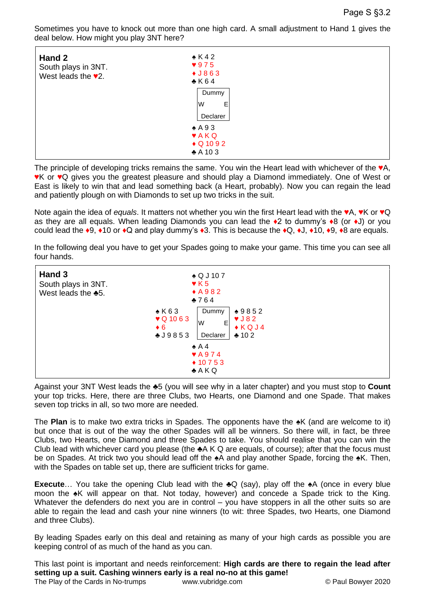Sometimes you have to knock out more than one high card. A small adjustment to Hand 1 gives the deal below. How might you play 3NT here?

| Hand 2<br>South plays in 3NT.<br>West leads the $\sqrt{2}$ . | $\triangle$ K42<br>$\sqrt{975}$<br>$\bigstar$ J863<br>$\triangle$ K64 |  |
|--------------------------------------------------------------|-----------------------------------------------------------------------|--|
|                                                              | Dummy<br>E<br>lW                                                      |  |
|                                                              | Declarer                                                              |  |
|                                                              | $\triangle$ A 93<br><b>VAKQ</b>                                       |  |
|                                                              | $\bullet$ Q 10 9 2<br>$*$ A 10 3                                      |  |

The principle of developing tricks remains the same. You win the Heart lead with whichever of the ♥A, ♥K or ♥Q gives you the greatest pleasure and should play a Diamond immediately. One of West or East is likely to win that and lead something back (a Heart, probably). Now you can regain the lead and patiently plough on with Diamonds to set up two tricks in the suit.

Note again the idea of *equals*. It matters not whether you win the first Heart lead with the ♥A, ♥K or ♥Q as they are all equals. When leading Diamonds you can lead the ♦2 to dummy's ♦8 (or ♦J) or you could lead the ♦9, ♦10 or ♦Q and play dummy's ♦3. This is because the ♦Q, ♦J, ♦10, ♦9, ♦8 are equals.

In the following deal you have to get your Spades going to make your game. This time you can see all four hands.



Against your 3NT West leads the ♣5 (you will see why in a later chapter) and you must stop to **Count** your top tricks. Here, there are three Clubs, two Hearts, one Diamond and one Spade. That makes seven top tricks in all, so two more are needed.

The **Plan** is to make two extra tricks in Spades. The opponents have the ♠K (and are welcome to it) but once that is out of the way the other Spades will all be winners. So there will, in fact, be three Clubs, two Hearts, one Diamond and three Spades to take. You should realise that you can win the Club lead with whichever card you please (the ♣A K Q are equals, of course); after that the focus must be on Spades. At trick two you should lead off the  $\triangle$ A and play another Spade, forcing the  $\triangle$ K. Then, with the Spades on table set up, there are sufficient tricks for game.

**Execute**… You take the opening Club lead with the ♣Q (say), play off the ♠A (once in every blue moon the ♠K will appear on that. Not today, however) and concede a Spade trick to the King. Whatever the defenders do next you are in control – you have stoppers in all the other suits so are able to regain the lead and cash your nine winners (to wit: three Spades, two Hearts, one Diamond and three Clubs).

By leading Spades early on this deal and retaining as many of your high cards as possible you are keeping control of as much of the hand as you can.

The Play of the Cards in No-trumps www.vubridge.com © Paul Bowyer 2020 This last point is important and needs reinforcement: **High cards are there to regain the lead after setting up a suit. Cashing winners early is a real no-no at this game!**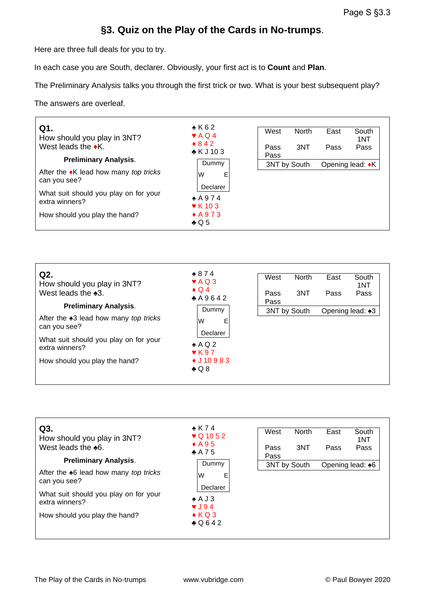## **§3. Quiz on the Play of the Cards in No-trumps**.

Here are three full deals for you to try.

In each case you are South, declarer. Obviously, your first act is to **Count** and **Plan**.

The Preliminary Analysis talks you through the first trick or two. What is your best subsequent play?

The answers are overleaf.

| Q1.<br>How should you play in 3NT?<br>West leads the $\bullet$ K.              | $\bullet$ K 6 2<br>$\blacktriangleright$ AQ4<br>$*842$<br>$\bullet$ K J 10 3 | West<br>Pass<br>Pass | <b>North</b><br>3NT | East<br>Pass | South<br>1NT<br>Pass |
|--------------------------------------------------------------------------------|------------------------------------------------------------------------------|----------------------|---------------------|--------------|----------------------|
| <b>Preliminary Analysis.</b><br>After the $\bullet$ K lead how many top tricks | Dummy                                                                        | 3NT by South         |                     |              | Opening lead: •K     |
| can you see?                                                                   | Е<br>W<br>Declarer                                                           |                      |                     |              |                      |
| What suit should you play on for your                                          |                                                                              |                      |                     |              |                      |
| extra winners?                                                                 | $*$ A 9 7 4                                                                  |                      |                     |              |                      |
|                                                                                | $\blacktriangledown$ K 10 3                                                  |                      |                     |              |                      |
| How should you play the hand?                                                  | $\triangle$ A 9 7 3                                                          |                      |                     |              |                      |
|                                                                                | $\clubsuit$ Q 5                                                              |                      |                     |              |                      |

| Q2.<br>How should you play in 3NT?<br>West leads the $*3$ .                                      | $*874$<br>$\blacktriangledown$ AQ 3<br>$\bullet$ Q 4<br>A9642                     | West<br>Pass<br>Pass | <b>North</b><br>3NT | East<br>Pass | South<br>1NT<br>Pass |
|--------------------------------------------------------------------------------------------------|-----------------------------------------------------------------------------------|----------------------|---------------------|--------------|----------------------|
| <b>Preliminary Analysis.</b><br>After the $\triangle 3$ lead how many top tricks<br>can you see? | Dummy<br>W<br>E                                                                   |                      | 3NT by South        |              | Opening lead: ♠3     |
| What suit should you play on for your<br>extra winners?                                          | Declarer<br>$\triangle$ AQ2<br>$\blacktriangledown$ K 9.7<br>$\bullet$ J 10 9 8 3 |                      |                     |              |                      |
| How should you play the hand?                                                                    | $\clubsuit$ Q 8                                                                   |                      |                     |              |                      |

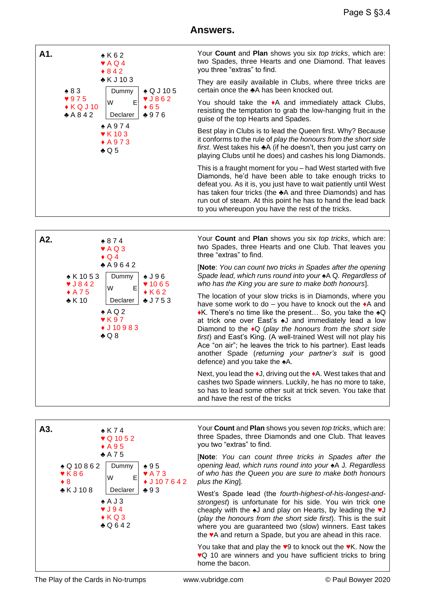## **Answers.**





Your **Count** and **Plan** shows you six *top tricks*, which are: two Spades, three Hearts and one Club. That leaves you three "extras" to find.

[**Note**: *You can count two tricks in Spades after the opening Spade lead, which runs round into your* ♠A Q*. Regardless of who has the King you are sure to make both honours*].

The location of your slow tricks is in Diamonds, where you have some work to do – you have to knock out the ♦A and ♦K. There's no time like the present… So, you take the ♠Q at trick one over East's ♠J and immediately lead a low Diamond to the ♦Q (*play the honours from the short side first*) and East's King. (A well-trained West will not play his Ace "on air"; he leaves the trick to his partner). East leads another Spade (*returning your partner's suit* is good defence) and you take the  $\triangle$ A.

Next, you lead the ♦J, driving out the ♦A. West takes that and cashes two Spade winners. Luckily, he has no more to take, so has to lead some other suit at trick seven. You take that and have the rest of the tricks

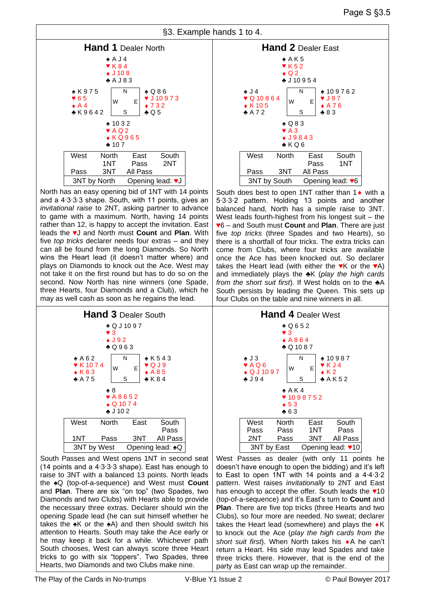



North has an easy opening bid of 1NT with 14 points and a 4∙3∙3∙3 shape. South, with 11 points, gives an *invitational raise* to 2NT, asking partner to advance to game with a maximum. North, having 14 points rather than 12, is happy to accept the invitation. East leads the ♥J and North must **Count** and **Plan**. With five *top tricks* declarer needs four extras – and they can all be found from the long Diamonds. So North wins the Heart lead (it doesn't matter where) and plays on Diamonds to knock out the Ace. West may not take it on the first round but has to do so on the second. Now North has nine winners (one Spade, three Hearts, four Diamonds and a Club), which he may as well cash as soon as he regains the lead.



South Passes and West opens 1NT in second seat (14 points and a 4∙3∙3∙3 shape). East has enough to raise to 3NT with a balanced 13 points. North leads the ♠Q (top-of-a-sequence) and West must **Count**  and **Plan**. There are six "on top" (two Spades, two Diamonds and two Clubs) with Hearts able to provide the necessary three extras. Declarer should win the opening Spade lead (he can suit himself whether he takes the  $\triangle K$  or the  $\triangle A$ ) and then should switch his attention to Hearts. South may take the Ace early or he may keep it back for a while. Whichever path South chooses, West can always score three Heart tricks to go with six "toppers". Two Spades, three Hearts, two Diamonds and two Clubs make nine.



South does best to open 1NT rather than  $1 \leftarrow$  with a 5∙3∙3∙2 pattern. Holding 13 points and another balanced hand, North has a simple raise to 3NT. West leads fourth-highest from his longest suit – the ♥6 – and South must **Count** and **Plan**. There are just five *top tricks* (three Spades and two Hearts), so there is a shortfall of four tricks. The extra tricks can come from Clubs, where four tricks are available once the Ace has been knocked out. So declarer takes the Heart lead (with either the  $\mathbf{v}$ K or the  $\mathbf{v}$ A) and immediately plays the ♣K (*play the high cards from the short suit first*). If West holds on to the ♣A South persists by leading the Queen. This sets up four Clubs on the table and nine winners in all.



West Passes as dealer (with only 11 points he doesn't have enough to open the bidding) and it's left to East to open 1NT with 14 points and a 4∙4∙3∙2 pattern. West raises *invitationally* to 2NT and East has enough to accept the offer. South leads the  $*10$ (top-of-a-sequence) and it's East's turn to **Count** and **Plan**. There are five top tricks (three Hearts and two Clubs), so four more are needed. No sweat; declarer takes the Heart lead (somewhere) and plays the  $\bullet K$ to knock out the Ace (*play the high cards from the*  short suit first). When North takes his  $\bullet$  A he can't return a Heart. His side may lead Spades and take three tricks there. However, that is the end of the party as East can wrap up the remainder.